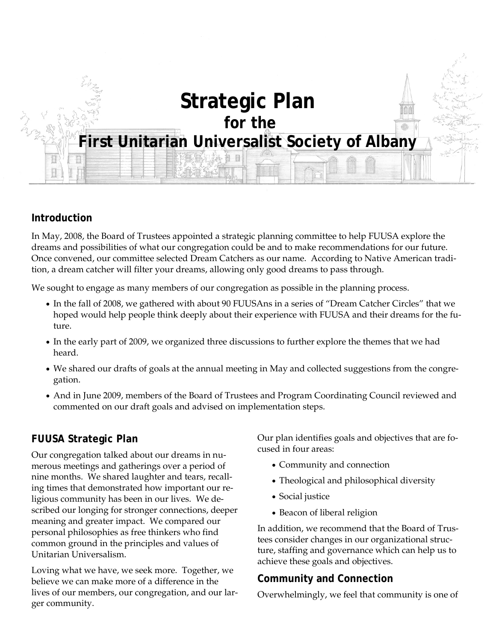

### **Introduction**

In May, 2008, the Board of Trustees appointed a strategic planning committee to help FUUSA explore the dreams and possibilities of what our congregation could be and to make recommendations for our future. Once convened, our committee selected Dream Catchers as our name. According to Native American tradition, a dream catcher will filter your dreams, allowing only good dreams to pass through.

We sought to engage as many members of our congregation as possible in the planning process.

- In the fall of 2008, we gathered with about 90 FUUSAns in a series of "Dream Catcher Circles" that we hoped would help people think deeply about their experience with FUUSA and their dreams for the future.
- In the early part of 2009, we organized three discussions to further explore the themes that we had heard.
- We shared our drafts of goals at the annual meeting in May and collected suggestions from the congregation.
- And in June 2009, members of the Board of Trustees and Program Coordinating Council reviewed and commented on our draft goals and advised on implementation steps.

# **FUUSA Strategic Plan**

Our congregation talked about our dreams in numerous meetings and gatherings over a period of nine months. We shared laughter and tears, recalling times that demonstrated how important our religious community has been in our lives. We described our longing for stronger connections, deeper meaning and greater impact. We compared our personal philosophies as free thinkers who find common ground in the principles and values of Unitarian Universalism.

Loving what we have, we seek more. Together, we believe we can make more of a difference in the lives of our members, our congregation, and our larger community.

Our plan identifies goals and objectives that are focused in four areas:

- Community and connection
- Theological and philosophical diversity
- Social justice
- Beacon of liberal religion

In addition, we recommend that the Board of Trustees consider changes in our organizational structure, staffing and governance which can help us to achieve these goals and objectives.

# **Community and Connection**

Overwhelmingly, we feel that community is one of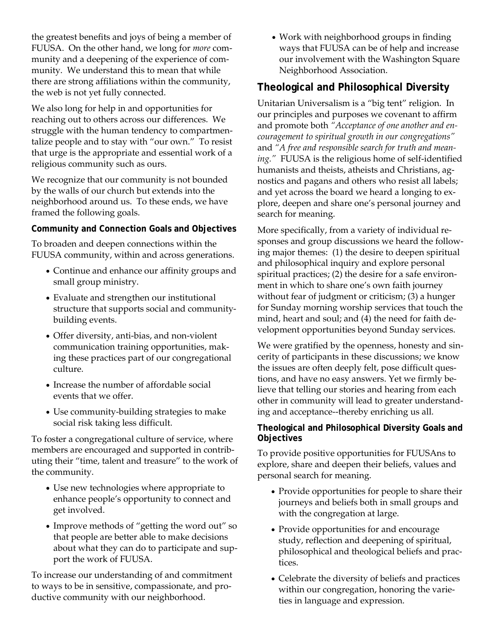the greatest benefits and joys of being a member of FUUSA. On the other hand, we long for *more* community and a deepening of the experience of community. We understand this to mean that while there are strong affiliations within the community, the web is not yet fully connected.

We also long for help in and opportunities for reaching out to others across our differences. We struggle with the human tendency to compartmentalize people and to stay with "our own." To resist that urge is the appropriate and essential work of a religious community such as ours.

We recognize that our community is not bounded by the walls of our church but extends into the neighborhood around us. To these ends, we have framed the following goals.

#### **Community and Connection Goals and Objectives**

To broaden and deepen connections within the FUUSA community, within and across generations.

- Continue and enhance our affinity groups and small group ministry.
- Evaluate and strengthen our institutional structure that supports social and communitybuilding events.
- Offer diversity, anti-bias, and non-violent communication training opportunities, making these practices part of our congregational culture.
- Increase the number of affordable social events that we offer.
- Use community-building strategies to make social risk taking less difficult.

To foster a congregational culture of service, where members are encouraged and supported in contributing their "time, talent and treasure" to the work of the community.

- Use new technologies where appropriate to enhance people's opportunity to connect and get involved.
- Improve methods of "getting the word out" so that people are better able to make decisions about what they can do to participate and support the work of FUUSA.

To increase our understanding of and commitment to ways to be in sensitive, compassionate, and productive community with our neighborhood.

 Work with neighborhood groups in finding ways that FUUSA can be of help and increase our involvement with the Washington Square Neighborhood Association.

# **Theological and Philosophical Diversity**

Unitarian Universalism is a "big tent" religion. In our principles and purposes we covenant to affirm and promote both *"Acceptance of one another and encouragement to spiritual growth in our congregations"* and *"A free and responsible search for truth and meaning."* FUUSA is the religious home of self-identified humanists and theists, atheists and Christians, agnostics and pagans and others who resist all labels; and yet across the board we heard a longing to explore, deepen and share one's personal journey and search for meaning.

More specifically, from a variety of individual responses and group discussions we heard the following major themes: (1) the desire to deepen spiritual and philosophical inquiry and explore personal spiritual practices; (2) the desire for a safe environment in which to share one's own faith journey without fear of judgment or criticism; (3) a hunger for Sunday morning worship services that touch the mind, heart and soul; and (4) the need for faith development opportunities beyond Sunday services.

We were gratified by the openness, honesty and sincerity of participants in these discussions; we know the issues are often deeply felt, pose difficult questions, and have no easy answers. Yet we firmly believe that telling our stories and hearing from each other in community will lead to greater understanding and acceptance--thereby enriching us all.

### **Theological and Philosophical Diversity Goals and Objectives**

To provide positive opportunities for FUUSAns to explore, share and deepen their beliefs, values and personal search for meaning.

- Provide opportunities for people to share their journeys and beliefs both in small groups and with the congregation at large.
- Provide opportunities for and encourage study, reflection and deepening of spiritual, philosophical and theological beliefs and practices.
- Celebrate the diversity of beliefs and practices within our congregation, honoring the varieties in language and expression.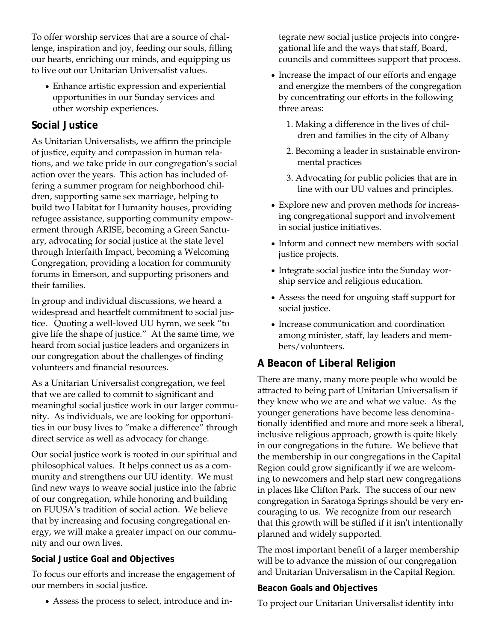To offer worship services that are a source of challenge, inspiration and joy, feeding our souls, filling our hearts, enriching our minds, and equipping us to live out our Unitarian Universalist values.

 Enhance artistic expression and experiential opportunities in our Sunday services and other worship experiences.

# **Social Justice**

As Unitarian Universalists, we affirm the principle of justice, equity and compassion in human relations, and we take pride in our congregation's social action over the years. This action has included offering a summer program for neighborhood children, supporting same sex marriage, helping to build two Habitat for Humanity houses, providing refugee assistance, supporting community empowerment through ARISE, becoming a Green Sanctuary, advocating for social justice at the state level through Interfaith Impact, becoming a Welcoming Congregation, providing a location for community forums in Emerson, and supporting prisoners and their families.

In group and individual discussions, we heard a widespread and heartfelt commitment to social justice. Quoting a well-loved UU hymn, we seek "to give life the shape of justice." At the same time, we heard from social justice leaders and organizers in our congregation about the challenges of finding volunteers and financial resources.

As a Unitarian Universalist congregation, we feel that we are called to commit to significant and meaningful social justice work in our larger community. As individuals, we are looking for opportunities in our busy lives to "make a difference" through direct service as well as advocacy for change.

Our social justice work is rooted in our spiritual and philosophical values. It helps connect us as a community and strengthens our UU identity. We must find new ways to weave social justice into the fabric of our congregation, while honoring and building on FUUSA's tradition of social action. We believe that by increasing and focusing congregational energy, we will make a greater impact on our community and our own lives.

### **Social Justice Goal and Objectives**

To focus our efforts and increase the engagement of our members in social justice.

Assess the process to select, introduce and in-

tegrate new social justice projects into congregational life and the ways that staff, Board, councils and committees support that process.

- Increase the impact of our efforts and engage and energize the members of the congregation by concentrating our efforts in the following three areas:
	- 1. Making a difference in the lives of children and families in the city of Albany
	- 2. Becoming a leader in sustainable environmental practices
	- 3. Advocating for public policies that are in line with our UU values and principles.
- Explore new and proven methods for increasing congregational support and involvement in social justice initiatives.
- Inform and connect new members with social justice projects.
- Integrate social justice into the Sunday worship service and religious education.
- Assess the need for ongoing staff support for social justice.
- Increase communication and coordination among minister, staff, lay leaders and members/volunteers.

# **A Beacon of Liberal Religion**

There are many, many more people who would be attracted to being part of Unitarian Universalism if they knew who we are and what we value. As the younger generations have become less denominationally identified and more and more seek a liberal, inclusive religious approach, growth is quite likely in our congregations in the future. We believe that the membership in our congregations in the Capital Region could grow significantly if we are welcoming to newcomers and help start new congregations in places like Clifton Park. The success of our new congregation in Saratoga Springs should be very encouraging to us. We recognize from our research that this growth will be stifled if it isn't intentionally planned and widely supported.

The most important benefit of a larger membership will be to advance the mission of our congregation and Unitarian Universalism in the Capital Region.

### **Beacon Goals and Objectives**

To project our Unitarian Universalist identity into